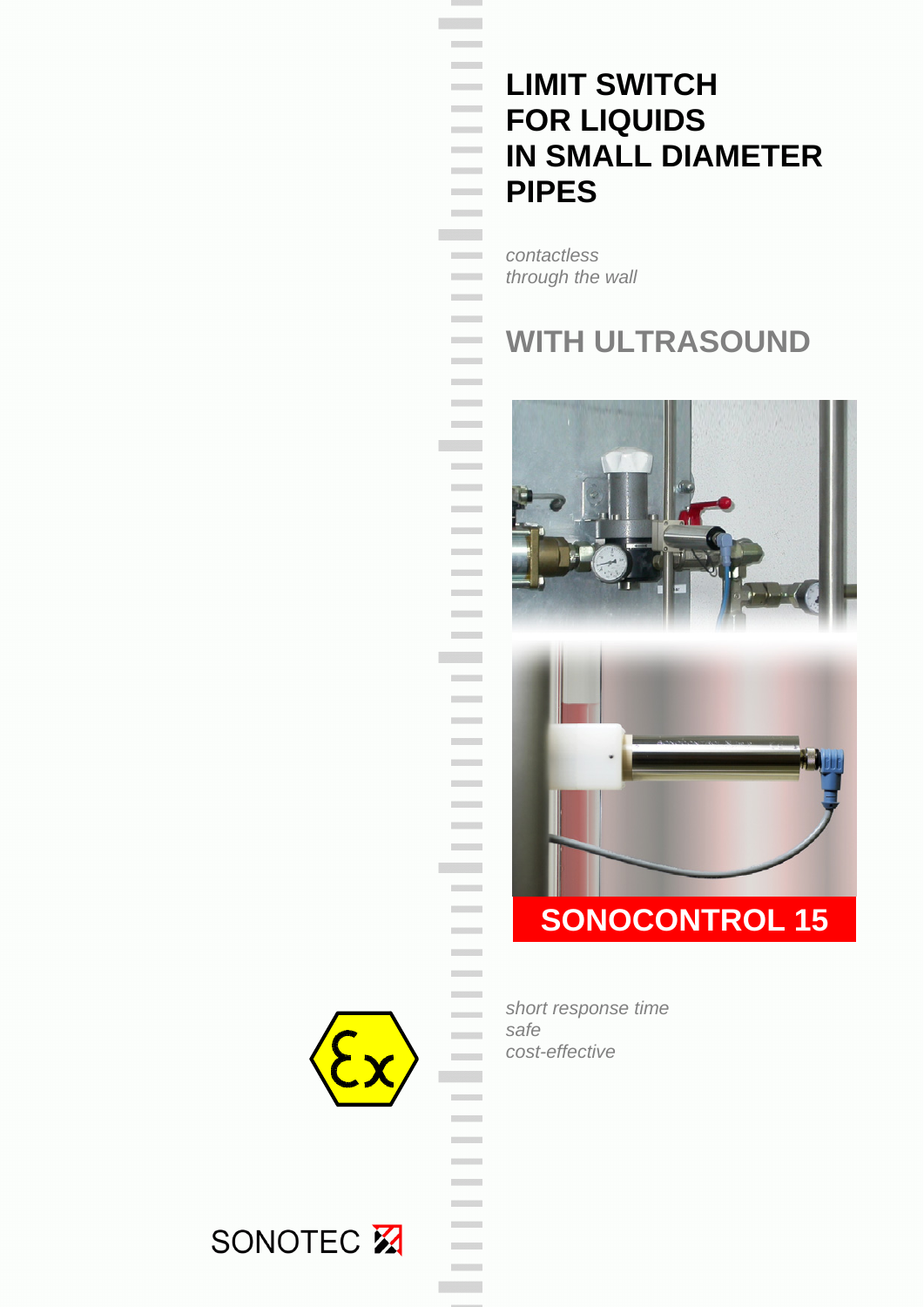# **LIMIT SWITCH FOR LIQUIDS IN SMALL DIAMETER PIPES**

*contactless through the wall* 

 $\mathcal{L}^{\text{max}}_{\text{max}}$ 

> $\mathcal{L}^{\text{max}}$

 $\mathcal{L}^{\text{max}}$ 

**Communication** 

## **WITH ULTRASOUND**





 *short response time safe cost-effective*